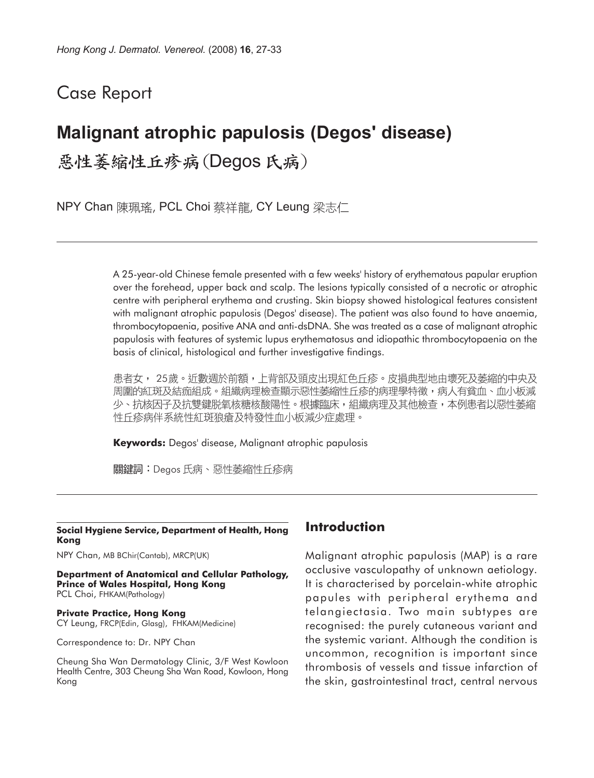## Case Report

# **Malignant atrophic papulosis (Degos' disease)**

惡性萎縮性丘疹病(Degos氏病)

NPY Chan 陳珮瑤, PCL Choi 蔡祥龍, CY Leung 梁志仁

A 25-year-old Chinese female presented with a few weeks' history of erythematous papular eruption over the forehead, upper back and scalp. The lesions typically consisted of a necrotic or atrophic centre with peripheral erythema and crusting. Skin biopsy showed histological features consistent with malignant atrophic papulosis (Degos' disease). The patient was also found to have anaemia, thrombocytopaenia, positive ANA and anti-dsDNA. She was treated as a case of malignant atrophic papulosis with features of systemic lupus erythematosus and idiopathic thrombocytopaenia on the basis of clinical, histological and further investigative findings.

患者女, 25歲。近數週於前額,上背部及頭皮出現紅色丘疹。皮損典型地由壞死及萎縮的中央及 周圍的紅斑及結痂組成。組織病理檢查顯示惡性萎縮性丘疹的病理學特徵,病人有貧血、血小板減 少、抗核因子及抗雙鍵脱氧核糖核酸陽性。根據臨床,組織病理及其他檢查,本例患者以惡性萎縮 性丘疹病伴系統性紅斑狼瘡及特發性血小板減少症處理。

**Keywords:** Degos' disease, Malignant atrophic papulosis

關鍵詞:Degos 氏病、惡性萎縮性丘疹病

#### **Social Hygiene Service, Department of Health, Hong Kong**

NPY Chan, MB BChir(Cantab), MRCP(UK)

**Department of Anatomical and Cellular Pathology, Prince of Wales Hospital, Hong Kong** PCL Choi, FHKAM(Pathology)

**Private Practice, Hong Kong** CY Leung, FRCP(Edin, Glasg), FHKAM(Medicine)

Correspondence to: Dr. NPY Chan

Cheung Sha Wan Dermatology Clinic, 3/F West Kowloon Health Centre, 303 Cheung Sha Wan Road, Kowloon, Hong Kong

#### **Introduction**

Malignant atrophic papulosis (MAP) is a rare occlusive vasculopathy of unknown aetiology. It is characterised by porcelain-white atrophic papules with peripheral erythema and telangiectasia. Two main subtypes are recognised: the purely cutaneous variant and the systemic variant. Although the condition is uncommon, recognition is important since thrombosis of vessels and tissue infarction of the skin, gastrointestinal tract, central nervous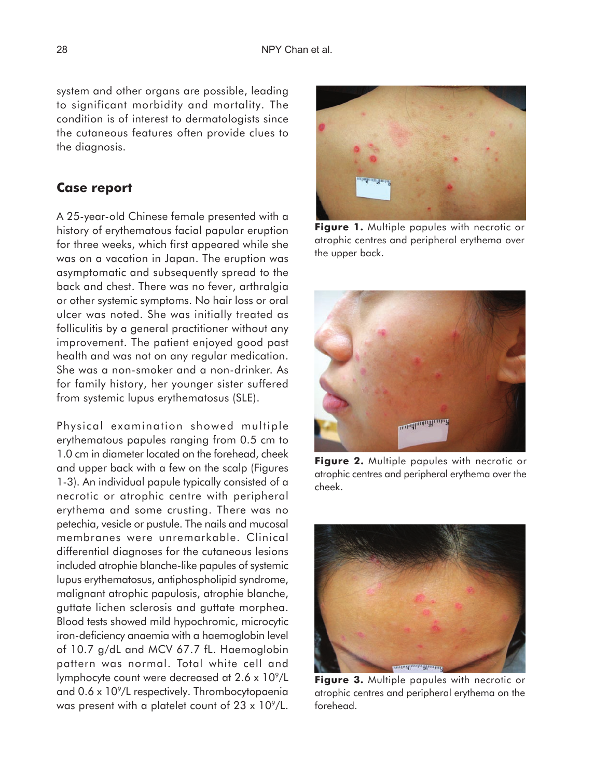system and other organs are possible, leading to significant morbidity and mortality. The condition is of interest to dermatologists since the cutaneous features often provide clues to the diagnosis.

#### **Case report**

A 25-year-old Chinese female presented with a history of erythematous facial papular eruption for three weeks, which first appeared while she was on a vacation in Japan. The eruption was asymptomatic and subsequently spread to the back and chest. There was no fever, arthralgia or other systemic symptoms. No hair loss or oral ulcer was noted. She was initially treated as folliculitis by a general practitioner without any improvement. The patient enjoyed good past health and was not on any regular medication. She was a non-smoker and a non-drinker. As for family history, her younger sister suffered from systemic lupus erythematosus (SLE).

Physical examination showed multiple erythematous papules ranging from 0.5 cm to 1.0 cm in diameter located on the forehead, cheek and upper back with a few on the scalp (Figures 1-3). An individual papule typically consisted of a necrotic or atrophic centre with peripheral erythema and some crusting. There was no petechia, vesicle or pustule. The nails and mucosal membranes were unremarkable. Clinical differential diagnoses for the cutaneous lesions included atrophie blanche-like papules of systemic lupus erythematosus, antiphospholipid syndrome, malignant atrophic papulosis, atrophie blanche, guttate lichen sclerosis and guttate morphea. Blood tests showed mild hypochromic, microcytic iron-deficiency anaemia with a haemoglobin level of 10.7 g/dL and MCV 67.7 fL. Haemoglobin pattern was normal. Total white cell and lymphocyte count were decreased at  $2.6 \times 10^9$ /L and  $0.6 \times 10^9$ /L respectively. Thrombocytopaenia was present with a platelet count of  $23 \times 10^9$ /L.



**Figure 1.** Multiple papules with necrotic or atrophic centres and peripheral erythema over the upper back.



**Figure 2.** Multiple papules with necrotic or atrophic centres and peripheral erythema over the cheek.



**Figure 3.** Multiple papules with necrotic or atrophic centres and peripheral erythema on the forehead.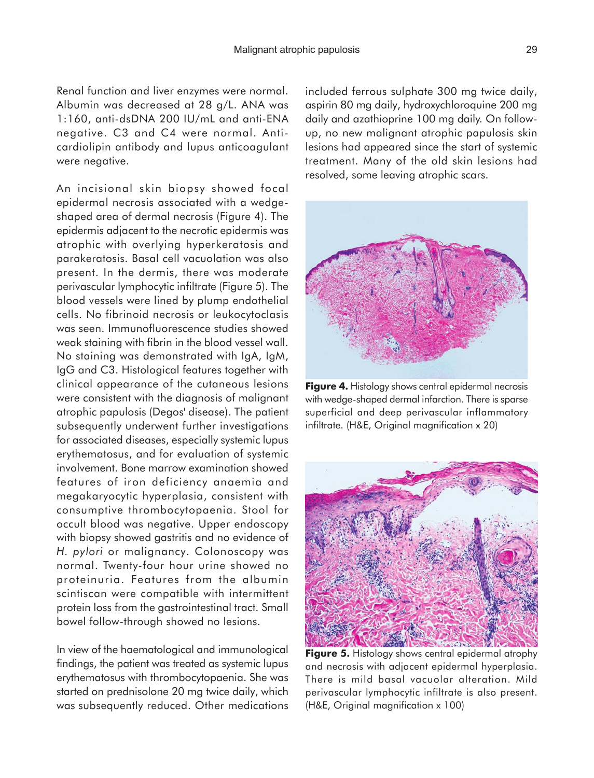Renal function and liver enzymes were normal. Albumin was decreased at 28 g/L. ANA was 1:160, anti-dsDNA 200 IU/mL and anti-ENA negative. C3 and C4 were normal. Anticardiolipin antibody and lupus anticoagulant were negative.

An incisional skin biopsy showed focal epidermal necrosis associated with a wedgeshaped area of dermal necrosis (Figure 4). The epidermis adjacent to the necrotic epidermis was atrophic with overlying hyperkeratosis and parakeratosis. Basal cell vacuolation was also present. In the dermis, there was moderate perivascular lymphocytic infiltrate (Figure 5). The blood vessels were lined by plump endothelial cells. No fibrinoid necrosis or leukocytoclasis was seen. Immunofluorescence studies showed weak staining with fibrin in the blood vessel wall. No staining was demonstrated with IgA, IgM, IgG and C3. Histological features together with clinical appearance of the cutaneous lesions were consistent with the diagnosis of malignant atrophic papulosis (Degos' disease). The patient subsequently underwent further investigations for associated diseases, especially systemic lupus erythematosus, and for evaluation of systemic involvement. Bone marrow examination showed features of iron deficiency anaemia and megakaryocytic hyperplasia, consistent with consumptive thrombocytopaenia. Stool for occult blood was negative. Upper endoscopy with biopsy showed gastritis and no evidence of *H. pylori* or malignancy. Colonoscopy was normal. Twenty-four hour urine showed no proteinuria. Features from the albumin scintiscan were compatible with intermittent protein loss from the gastrointestinal tract. Small bowel follow-through showed no lesions.

In view of the haematological and immunological findings, the patient was treated as systemic lupus erythematosus with thrombocytopaenia. She was started on prednisolone 20 mg twice daily, which was subsequently reduced. Other medications included ferrous sulphate 300 mg twice daily, aspirin 80 mg daily, hydroxychloroquine 200 mg daily and azathioprine 100 mg daily. On followup, no new malignant atrophic papulosis skin lesions had appeared since the start of systemic treatment. Many of the old skin lesions had resolved, some leaving atrophic scars.



**Figure 4.** Histology shows central epidermal necrosis with wedge-shaped dermal infarction. There is sparse superficial and deep perivascular inflammatory infiltrate. (H&E, Original magnification x 20)



**Figure 5.** Histology shows central epidermal atrophy and necrosis with adjacent epidermal hyperplasia. There is mild basal vacuolar alteration. Mild perivascular lymphocytic infiltrate is also present. (H&E, Original magnification x 100)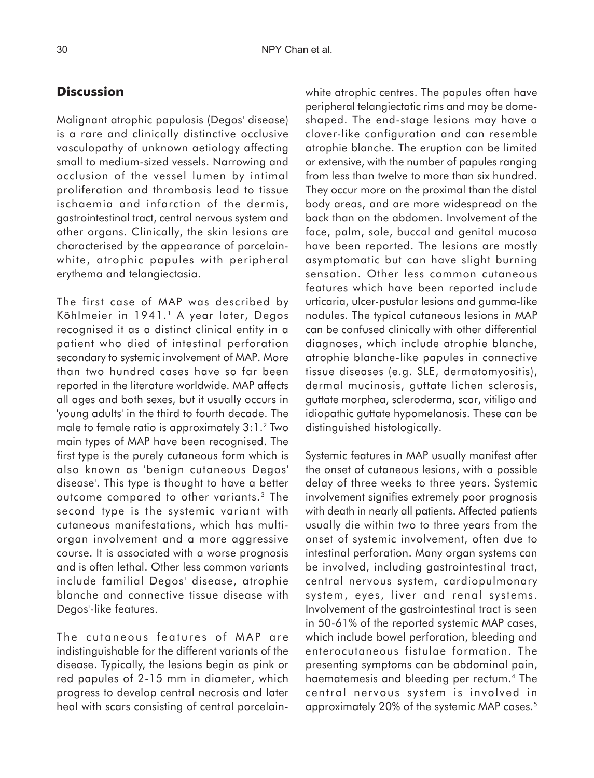### **Discussion**

Malignant atrophic papulosis (Degos' disease) is a rare and clinically distinctive occlusive vasculopathy of unknown aetiology affecting small to medium-sized vessels. Narrowing and occlusion of the vessel lumen by intimal proliferation and thrombosis lead to tissue ischaemia and infarction of the dermis, gastrointestinal tract, central nervous system and other organs. Clinically, the skin lesions are characterised by the appearance of porcelainwhite, atrophic papules with peripheral erythema and telangiectasia.

The first case of MAP was described by Köhlmeier in 1941.1 A year later, Degos recognised it as a distinct clinical entity in a patient who died of intestinal perforation secondary to systemic involvement of MAP. More than two hundred cases have so far been reported in the literature worldwide. MAP affects all ages and both sexes, but it usually occurs in 'young adults' in the third to fourth decade. The male to female ratio is approximately 3:1.2 Two main types of MAP have been recognised. The first type is the purely cutaneous form which is also known as 'benign cutaneous Degos' disease'. This type is thought to have a better outcome compared to other variants.3 The second type is the systemic variant with cutaneous manifestations, which has multiorgan involvement and a more aggressive course. It is associated with a worse prognosis and is often lethal. Other less common variants include familial Degos' disease, atrophie blanche and connective tissue disease with Degos'-like features.

The cutaneous features of MAP are indistinguishable for the different variants of the disease. Typically, the lesions begin as pink or red papules of 2-15 mm in diameter, which progress to develop central necrosis and later heal with scars consisting of central porcelainwhite atrophic centres. The papules often have peripheral telangiectatic rims and may be domeshaped. The end-stage lesions may have a clover-like configuration and can resemble atrophie blanche. The eruption can be limited or extensive, with the number of papules ranging from less than twelve to more than six hundred. They occur more on the proximal than the distal body areas, and are more widespread on the back than on the abdomen. Involvement of the face, palm, sole, buccal and genital mucosa have been reported. The lesions are mostly asymptomatic but can have slight burning sensation. Other less common cutaneous features which have been reported include urticaria, ulcer-pustular lesions and gumma-like nodules. The typical cutaneous lesions in MAP can be confused clinically with other differential diagnoses, which include atrophie blanche, atrophie blanche-like papules in connective tissue diseases (e.g. SLE, dermatomyositis), dermal mucinosis, guttate lichen sclerosis, guttate morphea, scleroderma, scar, vitiligo and idiopathic guttate hypomelanosis. These can be distinguished histologically.

Systemic features in MAP usually manifest after the onset of cutaneous lesions, with a possible delay of three weeks to three years. Systemic involvement signifies extremely poor prognosis with death in nearly all patients. Affected patients usually die within two to three years from the onset of systemic involvement, often due to intestinal perforation. Many organ systems can be involved, including gastrointestinal tract, central nervous system, cardiopulmonary system, eyes, liver and renal systems. Involvement of the gastrointestinal tract is seen in 50-61% of the reported systemic MAP cases, which include bowel perforation, bleeding and enterocutaneous fistulae formation. The presenting symptoms can be abdominal pain, haematemesis and bleeding per rectum.4 The central nervous system is involved in approximately 20% of the systemic MAP cases.5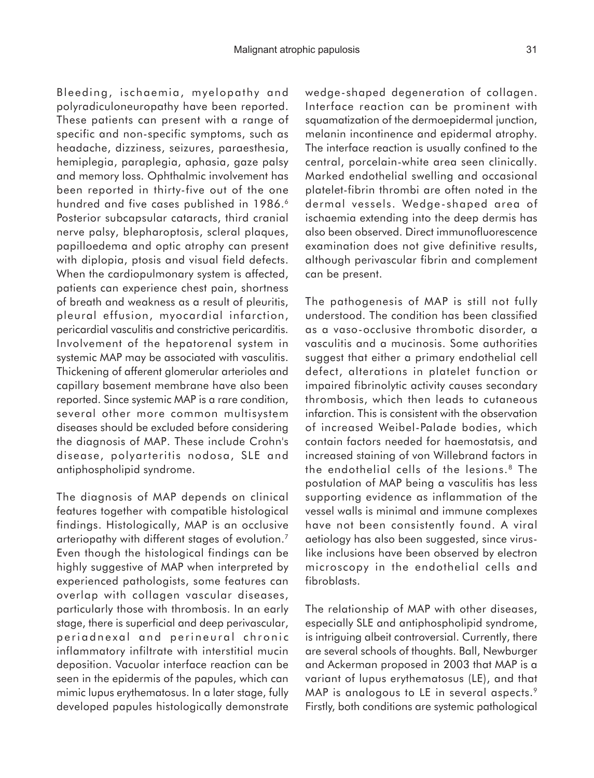Bleeding, ischaemia, myelopathy and polyradiculoneuropathy have been reported. These patients can present with a range of specific and non-specific symptoms, such as headache, dizziness, seizures, paraesthesia, hemiplegia, paraplegia, aphasia, gaze palsy and memory loss. Ophthalmic involvement has been reported in thirty-five out of the one hundred and five cases published in 1986.<sup>6</sup> Posterior subcapsular cataracts, third cranial nerve palsy, blepharoptosis, scleral plaques, papilloedema and optic atrophy can present with diplopia, ptosis and visual field defects. When the cardiopulmonary system is affected, patients can experience chest pain, shortness of breath and weakness as a result of pleuritis, pleural effusion, myocardial infarction, pericardial vasculitis and constrictive pericarditis. Involvement of the hepatorenal system in systemic MAP may be associated with vasculitis. Thickening of afferent glomerular arterioles and capillary basement membrane have also been reported. Since systemic MAP is a rare condition, several other more common multisystem diseases should be excluded before considering the diagnosis of MAP. These include Crohn's disease, polyarteritis nodosa, SLE and antiphospholipid syndrome.

The diagnosis of MAP depends on clinical features together with compatible histological findings. Histologically, MAP is an occlusive arteriopathy with different stages of evolution.7 Even though the histological findings can be highly suggestive of MAP when interpreted by experienced pathologists, some features can overlap with collagen vascular diseases, particularly those with thrombosis. In an early stage, there is superficial and deep perivascular, periadnexal and perineural chronic inflammatory infiltrate with interstitial mucin deposition. Vacuolar interface reaction can be seen in the epidermis of the papules, which can mimic lupus erythematosus. In a later stage, fully developed papules histologically demonstrate

wedge-shaped degeneration of collagen. Interface reaction can be prominent with squamatization of the dermoepidermal junction, melanin incontinence and epidermal atrophy. The interface reaction is usually confined to the central, porcelain-white area seen clinically. Marked endothelial swelling and occasional platelet-fibrin thrombi are often noted in the dermal vessels. Wedge-shaped area of ischaemia extending into the deep dermis has also been observed. Direct immunofluorescence examination does not give definitive results, although perivascular fibrin and complement can be present.

The pathogenesis of MAP is still not fully understood. The condition has been classified as a vaso-occlusive thrombotic disorder, a vasculitis and a mucinosis. Some authorities suggest that either a primary endothelial cell defect, alterations in platelet function or impaired fibrinolytic activity causes secondary thrombosis, which then leads to cutaneous infarction. This is consistent with the observation of increased Weibel-Palade bodies, which contain factors needed for haemostatsis, and increased staining of von Willebrand factors in the endothelial cells of the lesions.8 The postulation of MAP being a vasculitis has less supporting evidence as inflammation of the vessel walls is minimal and immune complexes have not been consistently found. A viral aetiology has also been suggested, since viruslike inclusions have been observed by electron microscopy in the endothelial cells and fibroblasts.

The relationship of MAP with other diseases, especially SLE and antiphospholipid syndrome, is intriguing albeit controversial. Currently, there are several schools of thoughts. Ball, Newburger and Ackerman proposed in 2003 that MAP is a variant of lupus erythematosus (LE), and that MAP is analogous to LE in several aspects.<sup>9</sup> Firstly, both conditions are systemic pathological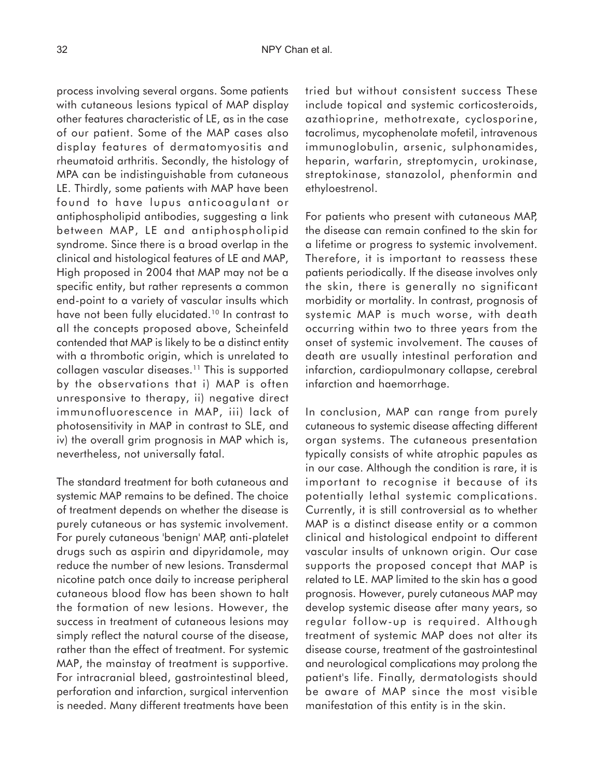process involving several organs. Some patients with cutaneous lesions typical of MAP display other features characteristic of LE, as in the case of our patient. Some of the MAP cases also display features of dermatomyositis and rheumatoid arthritis. Secondly, the histology of MPA can be indistinguishable from cutaneous LE. Thirdly, some patients with MAP have been found to have lupus anticoagulant or antiphospholipid antibodies, suggesting a link between MAP, LE and antiphospholipid syndrome. Since there is a broad overlap in the clinical and histological features of LE and MAP, High proposed in 2004 that MAP may not be a specific entity, but rather represents a common end-point to a variety of vascular insults which have not been fully elucidated.<sup>10</sup> In contrast to all the concepts proposed above, Scheinfeld contended that MAP is likely to be a distinct entity with a thrombotic origin, which is unrelated to collagen vascular diseases.11 This is supported by the observations that i) MAP is often unresponsive to therapy, ii) negative direct immunofluorescence in MAP, iii) lack of photosensitivity in MAP in contrast to SLE, and iv) the overall grim prognosis in MAP which is, nevertheless, not universally fatal.

The standard treatment for both cutaneous and systemic MAP remains to be defined. The choice of treatment depends on whether the disease is purely cutaneous or has systemic involvement. For purely cutaneous 'benign' MAP, anti-platelet drugs such as aspirin and dipyridamole, may reduce the number of new lesions. Transdermal nicotine patch once daily to increase peripheral cutaneous blood flow has been shown to halt the formation of new lesions. However, the success in treatment of cutaneous lesions may simply reflect the natural course of the disease, rather than the effect of treatment. For systemic MAP, the mainstay of treatment is supportive. For intracranial bleed, gastrointestinal bleed, perforation and infarction, surgical intervention is needed. Many different treatments have been

tried but without consistent success These include topical and systemic corticosteroids, azathioprine, methotrexate, cyclosporine, tacrolimus, mycophenolate mofetil, intravenous immunoglobulin, arsenic, sulphonamides, heparin, warfarin, streptomycin, urokinase, streptokinase, stanazolol, phenformin and ethyloestrenol.

For patients who present with cutaneous MAP, the disease can remain confined to the skin for a lifetime or progress to systemic involvement. Therefore, it is important to reassess these patients periodically. If the disease involves only the skin, there is generally no significant morbidity or mortality. In contrast, prognosis of systemic MAP is much worse, with death occurring within two to three years from the onset of systemic involvement. The causes of death are usually intestinal perforation and infarction, cardiopulmonary collapse, cerebral infarction and haemorrhage.

In conclusion, MAP can range from purely cutaneous to systemic disease affecting different organ systems. The cutaneous presentation typically consists of white atrophic papules as in our case. Although the condition is rare, it is important to recognise it because of its potentially lethal systemic complications. Currently, it is still controversial as to whether MAP is a distinct disease entity or a common clinical and histological endpoint to different vascular insults of unknown origin. Our case supports the proposed concept that MAP is related to LE. MAP limited to the skin has a good prognosis. However, purely cutaneous MAP may develop systemic disease after many years, so regular follow-up is required. Although treatment of systemic MAP does not alter its disease course, treatment of the gastrointestinal and neurological complications may prolong the patient's life. Finally, dermatologists should be aware of MAP since the most visible manifestation of this entity is in the skin.